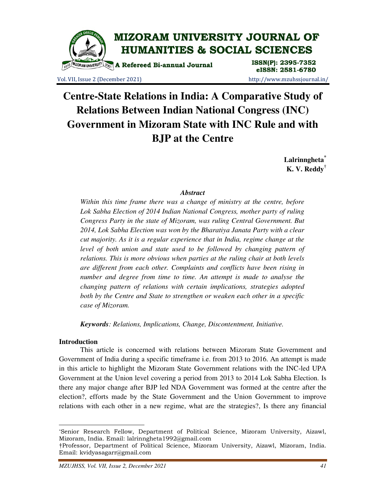

Vol. VII, Issue 2 (December 2021) http://www.mzuhssjournal.in/

eISSN: 2581-6780

# **Centre-State Relations in India: A Comparative Study of Relations Between Indian National Congress (INC) Government in Mizoram State with INC Rule and with BJP at the Centre**

**Lalrinngheta\* K. V. Reddy†**

## *Abstract*

*Within this time frame there was a change of ministry at the centre, before Lok Sabha Election of 2014 Indian National Congress, mother party of ruling Congress Party in the state of Mizoram, was ruling Central Government. But 2014, Lok Sabha Election was won by the Bharatiya Janata Party with a clear cut majority. As it is a regular experience that in India, regime change at the level of both union and state used to be followed by changing pattern of relations. This is more obvious when parties at the ruling chair at both levels are different from each other. Complaints and conflicts have been rising in number and degree from time to time. An attempt is made to analyse the changing pattern of relations with certain implications, strategies adopted both by the Centre and State to strengthen or weaken each other in a specific case of Mizoram.* 

*Keywords: Relations, Implications, Change, Discontentment, Initiative.* 

## **Introduction**

 $\overline{a}$ 

 This article is concerned with relations between Mizoram State Government and Government of India during a specific timeframe i.e. from 2013 to 2016. An attempt is made in this article to highlight the Mizoram State Government relations with the INC-led UPA Government at the Union level covering a period from 2013 to 2014 Lok Sabha Election. Is there any major change after BJP led NDA Government was formed at the centre after the election?, efforts made by the State Government and the Union Government to improve relations with each other in a new regime, what are the strategies?, Is there any financial

<sup>\*</sup>Senior Research Fellow, Department of Political Science, Mizoram University, Aizawl, Mizoram, India. Email: lalrinngheta1992@gmail.com

<sup>†</sup>Professor, Department of Political Science, Mizoram University, Aizawl, Mizoram, India. Email: kvidyasagarr@gmail.com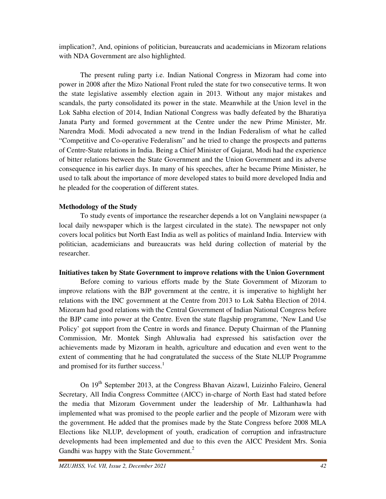implication?, And, opinions of politician, bureaucrats and academicians in Mizoram relations with NDA Government are also highlighted.

 The present ruling party i.e. Indian National Congress in Mizoram had come into power in 2008 after the Mizo National Front ruled the state for two consecutive terms. It won the state legislative assembly election again in 2013. Without any major mistakes and scandals, the party consolidated its power in the state. Meanwhile at the Union level in the Lok Sabha election of 2014, Indian National Congress was badly defeated by the Bharatiya Janata Party and formed government at the Centre under the new Prime Minister, Mr. Narendra Modi. Modi advocated a new trend in the Indian Federalism of what he called "Competitive and Co-operative Federalism" and he tried to change the prospects and patterns of Centre-State relations in India. Being a Chief Minister of Gujarat, Modi had the experience of bitter relations between the State Government and the Union Government and its adverse consequence in his earlier days. In many of his speeches, after he became Prime Minister, he used to talk about the importance of more developed states to build more developed India and he pleaded for the cooperation of different states.

# **Methodology of the Study**

 To study events of importance the researcher depends a lot on Vanglaini newspaper (a local daily newspaper which is the largest circulated in the state). The newspaper not only covers local politics but North East India as well as politics of mainland India. Interview with politician, academicians and bureaucrats was held during collection of material by the researcher.

## **Initiatives taken by State Government to improve relations with the Union Government**

 Before coming to various efforts made by the State Government of Mizoram to improve relations with the BJP government at the centre, it is imperative to highlight her relations with the INC government at the Centre from 2013 to Lok Sabha Election of 2014. Mizoram had good relations with the Central Government of Indian National Congress before the BJP came into power at the Centre. Even the state flagship programme, 'New Land Use Policy' got support from the Centre in words and finance. Deputy Chairman of the Planning Commission, Mr. Montek Singh Ahluwalia had expressed his satisfaction over the achievements made by Mizoram in health, agriculture and education and even went to the extent of commenting that he had congratulated the success of the State NLUP Programme and promised for its further success.<sup>1</sup>

On 19<sup>th</sup> September 2013, at the Congress Bhavan Aizawl, Luizinho Faleiro, General Secretary, All India Congress Committee (AICC) in-charge of North East had stated before the media that Mizoram Government under the leadership of Mr. Lalthanhawla had implemented what was promised to the people earlier and the people of Mizoram were with the government. He added that the promises made by the State Congress before 2008 MLA Elections like NLUP, development of youth, eradication of corruption and infrastructure developments had been implemented and due to this even the AICC President Mrs. Sonia Gandhi was happy with the State Government.<sup>2</sup>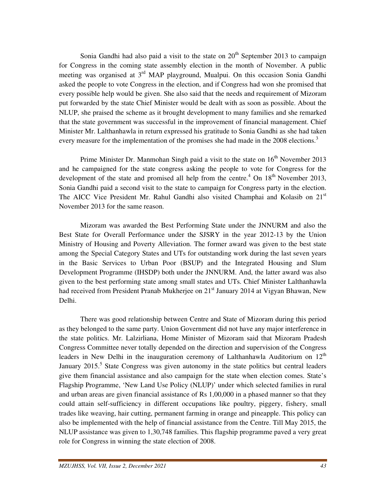Sonia Gandhi had also paid a visit to the state on  $20<sup>th</sup>$  September 2013 to campaign for Congress in the coming state assembly election in the month of November. A public meeting was organised at  $3<sup>rd</sup>$  MAP playground, Mualpui. On this occasion Sonia Gandhi asked the people to vote Congress in the election, and if Congress had won she promised that every possible help would be given. She also said that the needs and requirement of Mizoram put forwarded by the state Chief Minister would be dealt with as soon as possible. About the NLUP, she praised the scheme as it brought development to many families and she remarked that the state government was successful in the improvement of financial management. Chief Minister Mr. Lalthanhawla in return expressed his gratitude to Sonia Gandhi as she had taken every measure for the implementation of the promises she had made in the 2008 elections.<sup>3</sup>

Prime Minister Dr. Manmohan Singh paid a visit to the state on  $16<sup>th</sup>$  November 2013 and he campaigned for the state congress asking the people to vote for Congress for the development of the state and promised all help from the centre.<sup>4</sup> On  $18<sup>th</sup>$  November 2013, Sonia Gandhi paid a second visit to the state to campaign for Congress party in the election. The AICC Vice President Mr. Rahul Gandhi also visited Champhai and Kolasib on 21<sup>st</sup> November 2013 for the same reason.

 Mizoram was awarded the Best Performing State under the JNNURM and also the Best State for Overall Performance under the SJSRY in the year 2012-13 by the Union Ministry of Housing and Poverty Alleviation. The former award was given to the best state among the Special Category States and UTs for outstanding work during the last seven years in the Basic Services to Urban Poor (BSUP) and the Integrated Housing and Slum Development Programme (IHSDP) both under the JNNURM. And, the latter award was also given to the best performing state among small states and UTs. Chief Minister Lalthanhawla had received from President Pranab Mukherjee on 21<sup>st</sup> January 2014 at Vigyan Bhawan, New Delhi.

 There was good relationship between Centre and State of Mizoram during this period as they belonged to the same party. Union Government did not have any major interference in the state politics. Mr. Lalzirliana, Home Minister of Mizoram said that Mizoram Pradesh Congress Committee never totally depended on the direction and supervision of the Congress leaders in New Delhi in the inauguration ceremony of Lalthanhawla Auditorium on  $12<sup>th</sup>$ January 2015.<sup>5</sup> State Congress was given autonomy in the state politics but central leaders give them financial assistance and also campaign for the state when election comes. State's Flagship Programme, 'New Land Use Policy (NLUP)' under which selected families in rural and urban areas are given financial assistance of Rs 1,00,000 in a phased manner so that they could attain self-sufficiency in different occupations like poultry, piggery, fishery, small trades like weaving, hair cutting, permanent farming in orange and pineapple. This policy can also be implemented with the help of financial assistance from the Centre. Till May 2015, the NLUP assistance was given to 1,30,748 families. This flagship programme paved a very great role for Congress in winning the state election of 2008.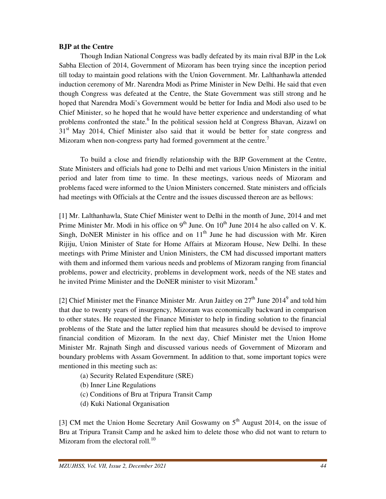## **BJP at the Centre**

 Though Indian National Congress was badly defeated by its main rival BJP in the Lok Sabha Election of 2014, Government of Mizoram has been trying since the inception period till today to maintain good relations with the Union Government. Mr. Lalthanhawla attended induction ceremony of Mr. Narendra Modi as Prime Minister in New Delhi. He said that even though Congress was defeated at the Centre, the State Government was still strong and he hoped that Narendra Modi's Government would be better for India and Modi also used to be Chief Minister, so he hoped that he would have better experience and understanding of what problems confronted the state.<sup>6</sup> In the political session held at Congress Bhavan, Aizawl on  $31<sup>st</sup>$  May 2014, Chief Minister also said that it would be better for state congress and Mizoram when non-congress party had formed government at the centre.<sup>7</sup>

 To build a close and friendly relationship with the BJP Government at the Centre, State Ministers and officials had gone to Delhi and met various Union Ministers in the initial period and later from time to time. In these meetings, various needs of Mizoram and problems faced were informed to the Union Ministers concerned. State ministers and officials had meetings with Officials at the Centre and the issues discussed thereon are as bellows:

[1] Mr. Lalthanhawla, State Chief Minister went to Delhi in the month of June, 2014 and met Prime Minister Mr. Modi in his office on  $9<sup>th</sup>$  June. On  $10<sup>th</sup>$  June 2014 he also called on V. K. Singh, DoNER Minister in his office and on  $11<sup>th</sup>$  June he had discussion with Mr. Kiren Rijiju, Union Minister of State for Home Affairs at Mizoram House, New Delhi. In these meetings with Prime Minister and Union Ministers, the CM had discussed important matters with them and informed them various needs and problems of Mizoram ranging from financial problems, power and electricity, problems in development work, needs of the NE states and he invited Prime Minister and the DoNER minister to visit Mizoram.<sup>8</sup>

[2] Chief Minister met the Finance Minister Mr. Arun Jaitley on  $27<sup>th</sup>$  June  $2014<sup>9</sup>$  and told him that due to twenty years of insurgency, Mizoram was economically backward in comparison to other states. He requested the Finance Minister to help in finding solution to the financial problems of the State and the latter replied him that measures should be devised to improve financial condition of Mizoram. In the next day, Chief Minister met the Union Home Minister Mr. Rajnath Singh and discussed various needs of Government of Mizoram and boundary problems with Assam Government. In addition to that, some important topics were mentioned in this meeting such as:

- (a) Security Related Expenditure (SRE)
- (b) Inner Line Regulations
- (c) Conditions of Bru at Tripura Transit Camp
- (d) Kuki National Organisation

[3] CM met the Union Home Secretary Anil Goswamy on 5<sup>th</sup> August 2014, on the issue of Bru at Tripura Transit Camp and he asked him to delete those who did not want to return to Mizoram from the electoral roll.<sup>10</sup>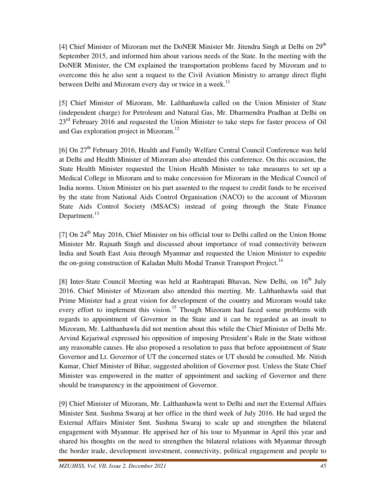[4] Chief Minister of Mizoram met the DoNER Minister Mr. Jitendra Singh at Delhi on 29<sup>th</sup> September 2015, and informed him about various needs of the State. In the meeting with the DoNER Minister, the CM explained the transportation problems faced by Mizoram and to overcome this he also sent a request to the Civil Aviation Ministry to arrange direct flight between Delhi and Mizoram every day or twice in a week.<sup>11</sup>

[5] Chief Minister of Mizoram, Mr. Lalthanhawla called on the Union Minister of State (independent charge) for Petroleum and Natural Gas, Mr. Dharmendra Pradhan at Delhi on 23<sup>rd</sup> February 2016 and requested the Union Minister to take steps for faster process of Oil and Gas exploration project in Mizoram.<sup>12</sup>

[6] On  $27<sup>th</sup>$  February 2016, Health and Family Welfare Central Council Conference was held at Delhi and Health Minister of Mizoram also attended this conference. On this occasion, the State Health Minister requested the Union Health Minister to take measures to set up a Medical College in Mizoram and to make concession for Mizoram in the Medical Council of India norms. Union Minister on his part assented to the request to credit funds to be received by the state from National Aids Control Organisation (NACO) to the account of Mizoram State Aids Control Society (MSACS) instead of going through the State Finance Department.<sup>13</sup>

 $[7]$  On  $24<sup>th</sup>$  May 2016, Chief Minister on his official tour to Delhi called on the Union Home Minister Mr. Rajnath Singh and discussed about importance of road connectivity between India and South East Asia through Myanmar and requested the Union Minister to expedite the on-going construction of Kaladan Multi Modal Transit Transport Project.<sup>14</sup>

[8] Inter-State Council Meeting was held at Rashtrapati Bhavan, New Delhi, on  $16<sup>th</sup>$  July 2016. Chief Minister of Mizoram also attended this meeting. Mr. Lalthanhawla said that Prime Minister had a great vision for development of the country and Mizoram would take every effort to implement this vision.<sup>15</sup> Though Mizoram had faced some problems with regards to appointment of Governor in the State and it can be regarded as an insult to Mizoram, Mr. Lalthanhawla did not mention about this while the Chief Minister of Delhi Mr. Arvind Kejariwal expressed his opposition of imposing President's Rule in the State without any reasonable causes. He also proposed a resolution to pass that before appointment of State Governor and Lt. Governor of UT the concerned states or UT should be consulted. Mr. Nitish Kumar, Chief Minister of Bihar, suggested abolition of Governor post. Unless the State Chief Minister was empowered in the matter of appointment and sacking of Governor and there should be transparency in the appointment of Governor.

[9] Chief Minister of Mizoram, Mr. Lalthanhawla went to Delhi and met the External Affairs Minister Smt. Sushma Swaraj at her office in the third week of July 2016. He had urged the External Affairs Minister Smt. Sushma Swaraj to scale up and strengthen the bilateral engagement with Myanmar. He apprised her of his tour to Myanmar in April this year and shared his thoughts on the need to strengthen the bilateral relations with Myanmar through the border trade, development investment, connectivity, political engagement and people to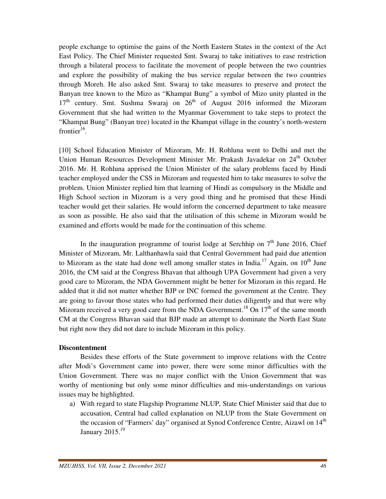people exchange to optimise the gains of the North Eastern States in the context of the Act East Policy. The Chief Minister requested Smt. Swaraj to take initiatives to ease restriction through a bilateral process to facilitate the movement of people between the two countries and explore the possibility of making the bus service regular between the two countries through Moreh. He also asked Smt. Swaraj to take measures to preserve and protect the Banyan tree known to the Mizo as "Khampat Bung" a symbol of Mizo unity planted in the  $17<sup>th</sup>$  century. Smt. Sushma Swaraj on  $26<sup>th</sup>$  of August 2016 informed the Mizoram Government that she had written to the Myanmar Government to take steps to protect the "Khampat Bung" (Banyan tree) located in the Khampat village in the country's north-western frontier $16$ .

[10] School Education Minister of Mizoram, Mr. H. Rohluna went to Delhi and met the Union Human Resources Development Minister Mr. Prakash Javadekar on 24<sup>th</sup> October 2016. Mr. H. Rohluna apprised the Union Minister of the salary problems faced by Hindi teacher employed under the CSS in Mizoram and requested him to take measures to solve the problem. Union Minister replied him that learning of Hindi as compulsory in the Middle and High School section in Mizoram is a very good thing and he promised that these Hindi teacher would get their salaries. He would inform the concerned department to take measure as soon as possible. He also said that the utilisation of this scheme in Mizoram would be examined and efforts would be made for the continuation of this scheme.

In the inauguration programme of tourist lodge at Serchhip on  $7<sup>th</sup>$  June 2016, Chief Minister of Mizoram, Mr. Lalthanhawla said that Central Government had paid due attention to Mizoram as the state had done well among smaller states in India.<sup>17</sup> Again, on  $10^{th}$  June 2016, the CM said at the Congress Bhavan that although UPA Government had given a very good care to Mizoram, the NDA Government might be better for Mizoram in this regard. He added that it did not matter whether BJP or INC formed the government at the Centre. They are going to favour those states who had performed their duties diligently and that were why Mizoram received a very good care from the NDA Government.<sup>18</sup> On  $17<sup>th</sup>$  of the same month CM at the Congress Bhavan said that BJP made an attempt to dominate the North East State but right now they did not dare to include Mizoram in this policy.

## **Discontentment**

 Besides these efforts of the State government to improve relations with the Centre after Modi's Government came into power, there were some minor difficulties with the Union Government. There was no major conflict with the Union Government that was worthy of mentioning but only some minor difficulties and mis-understandings on various issues may be highlighted.

a) With regard to state Flagship Programme NLUP, State Chief Minister said that due to accusation, Central had called explanation on NLUP from the State Government on the occasion of "Farmers' day" organised at Synod Conference Centre, Aizawl on 14<sup>th</sup> January 2015.<sup>19</sup>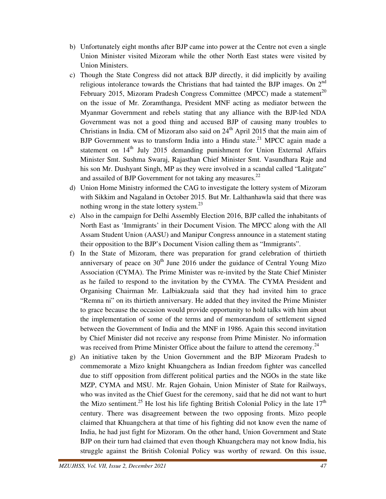- b) Unfortunately eight months after BJP came into power at the Centre not even a single Union Minister visited Mizoram while the other North East states were visited by Union Ministers.
- c) Though the State Congress did not attack BJP directly, it did implicitly by availing religious intolerance towards the Christians that had tainted the BJP images. On 2nd February 2015, Mizoram Pradesh Congress Committee (MPCC) made a statement<sup>20</sup> on the issue of Mr. Zoramthanga, President MNF acting as mediator between the Myanmar Government and rebels stating that any alliance with the BJP-led NDA Government was not a good thing and accused BJP of causing many troubles to Christians in India. CM of Mizoram also said on 24<sup>th</sup> April 2015 that the main aim of BJP Government was to transform India into a Hindu state.<sup>21</sup> MPCC again made a statement on  $14<sup>th</sup>$  July 2015 demanding punishment for Union External Affairs Minister Smt. Sushma Swaraj, Rajasthan Chief Minister Smt. Vasundhara Raje and his son Mr. Dushyant Singh, MP as they were involved in a scandal called "Lalitgate" and assailed of BJP Government for not taking any measures.<sup>22</sup>
- d) Union Home Ministry informed the CAG to investigate the lottery system of Mizoram with Sikkim and Nagaland in October 2015. But Mr. Lalthanhawla said that there was nothing wrong in the state lottery system. $^{23}$
- e) Also in the campaign for Delhi Assembly Election 2016, BJP called the inhabitants of North East as 'Immigrants' in their Document Vision. The MPCC along with the All Assam Student Union (AASU) and Manipur Congress announce in a statement stating their opposition to the BJP's Document Vision calling them as "Immigrants".
- f) In the State of Mizoram, there was preparation for grand celebration of thirtieth anniversary of peace on  $30<sup>th</sup>$  June 2016 under the guidance of Central Young Mizo Association (CYMA). The Prime Minister was re-invited by the State Chief Minister as he failed to respond to the invitation by the CYMA. The CYMA President and Organising Chairman Mr. Lalbiakzuala said that they had invited him to grace "Remna ni" on its thirtieth anniversary. He added that they invited the Prime Minister to grace because the occasion would provide opportunity to hold talks with him about the implementation of some of the terms and of memorandum of settlement signed between the Government of India and the MNF in 1986. Again this second invitation by Chief Minister did not receive any response from Prime Minister. No information was received from Prime Minister Office about the failure to attend the ceremony.<sup>24</sup>
- g) An initiative taken by the Union Government and the BJP Mizoram Pradesh to commemorate a Mizo knight Khuangchera as Indian freedom fighter was cancelled due to stiff opposition from different political parties and the NGOs in the state like MZP, CYMA and MSU. Mr. Rajen Gohain, Union Minister of State for Railways, who was invited as the Chief Guest for the ceremony, said that he did not want to hurt the Mizo sentiment.<sup>25</sup> He lost his life fighting British Colonial Policy in the late  $17<sup>th</sup>$ century. There was disagreement between the two opposing fronts. Mizo people claimed that Khuangchera at that time of his fighting did not know even the name of India, he had just fight for Mizoram. On the other hand, Union Government and State BJP on their turn had claimed that even though Khuangchera may not know India, his struggle against the British Colonial Policy was worthy of reward. On this issue,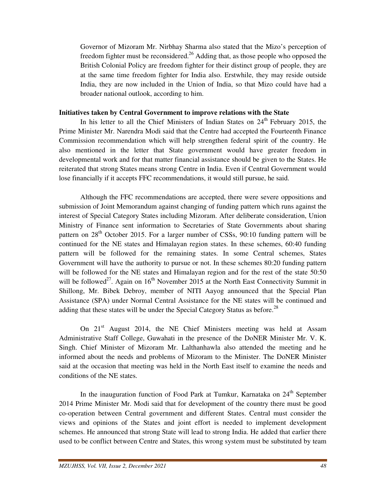Governor of Mizoram Mr. Nirbhay Sharma also stated that the Mizo's perception of freedom fighter must be reconsidered.<sup>26</sup> Adding that, as those people who opposed the British Colonial Policy are freedom fighter for their distinct group of people, they are at the same time freedom fighter for India also. Erstwhile, they may reside outside India, they are now included in the Union of India, so that Mizo could have had a broader national outlook, according to him.

#### **Initiatives taken by Central Government to improve relations with the State**

In his letter to all the Chief Ministers of Indian States on  $24<sup>th</sup>$  February 2015, the Prime Minister Mr. Narendra Modi said that the Centre had accepted the Fourteenth Finance Commission recommendation which will help strengthen federal spirit of the country. He also mentioned in the letter that State government would have greater freedom in developmental work and for that matter financial assistance should be given to the States. He reiterated that strong States means strong Centre in India. Even if Central Government would lose financially if it accepts FFC recommendations, it would still pursue, he said.

 Although the FFC recommendations are accepted, there were severe oppositions and submission of Joint Memorandum against changing of funding pattern which runs against the interest of Special Category States including Mizoram. After deliberate consideration, Union Ministry of Finance sent information to Secretaries of State Governments about sharing pattern on  $28<sup>th</sup>$  October 2015. For a larger number of CSSs, 90:10 funding pattern will be continued for the NE states and Himalayan region states. In these schemes, 60:40 funding pattern will be followed for the remaining states. In some Central schemes, States Government will have the authority to pursue or not. In these schemes 80:20 funding pattern will be followed for the NE states and Himalayan region and for the rest of the state 50:50 will be followed<sup>27</sup>. Again on  $16<sup>th</sup>$  November 2015 at the North East Connectivity Summit in Shillong, Mr. Bibek Debroy, member of NITI Aayog announced that the Special Plan Assistance (SPA) under Normal Central Assistance for the NE states will be continued and adding that these states will be under the Special Category Status as before.<sup>28</sup>

On  $21<sup>st</sup>$  August 2014, the NE Chief Ministers meeting was held at Assam Administrative Staff College, Guwahati in the presence of the DoNER Minister Mr. V. K. Singh. Chief Minister of Mizoram Mr. Lalthanhawla also attended the meeting and he informed about the needs and problems of Mizoram to the Minister. The DoNER Minister said at the occasion that meeting was held in the North East itself to examine the needs and conditions of the NE states.

In the inauguration function of Food Park at Tumkur, Karnataka on  $24<sup>th</sup>$  September 2014 Prime Minister Mr. Modi said that for development of the country there must be good co-operation between Central government and different States. Central must consider the views and opinions of the States and joint effort is needed to implement development schemes. He announced that strong State will lead to strong India. He added that earlier there used to be conflict between Centre and States, this wrong system must be substituted by team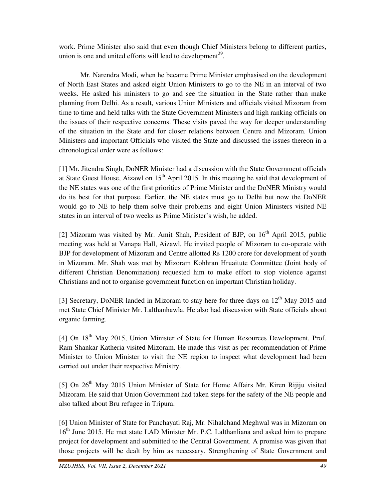work. Prime Minister also said that even though Chief Ministers belong to different parties, union is one and united efforts will lead to development<sup>29</sup>.

 Mr. Narendra Modi, when he became Prime Minister emphasised on the development of North East States and asked eight Union Ministers to go to the NE in an interval of two weeks. He asked his ministers to go and see the situation in the State rather than make planning from Delhi. As a result, various Union Ministers and officials visited Mizoram from time to time and held talks with the State Government Ministers and high ranking officials on the issues of their respective concerns. These visits paved the way for deeper understanding of the situation in the State and for closer relations between Centre and Mizoram. Union Ministers and important Officials who visited the State and discussed the issues thereon in a chronological order were as follows:

[1] Mr. Jitendra Singh, DoNER Minister had a discussion with the State Government officials at State Guest House, Aizawl on  $15<sup>th</sup>$  April 2015. In this meeting he said that development of the NE states was one of the first priorities of Prime Minister and the DoNER Ministry would do its best for that purpose. Earlier, the NE states must go to Delhi but now the DoNER would go to NE to help them solve their problems and eight Union Ministers visited NE states in an interval of two weeks as Prime Minister's wish, he added.

[2] Mizoram was visited by Mr. Amit Shah, President of BJP, on  $16<sup>th</sup>$  April 2015, public meeting was held at Vanapa Hall, Aizawl. He invited people of Mizoram to co-operate with BJP for development of Mizoram and Centre allotted Rs 1200 crore for development of youth in Mizoram. Mr. Shah was met by Mizoram Kohhran Hruaitute Committee (Joint body of different Christian Denomination) requested him to make effort to stop violence against Christians and not to organise government function on important Christian holiday.

[3] Secretary, DoNER landed in Mizoram to stay here for three days on  $12<sup>th</sup>$  May 2015 and met State Chief Minister Mr. Lalthanhawla. He also had discussion with State officials about organic farming.

[4] On 18<sup>th</sup> May 2015, Union Minister of State for Human Resources Development, Prof. Ram Shankar Katheria visited Mizoram. He made this visit as per recommendation of Prime Minister to Union Minister to visit the NE region to inspect what development had been carried out under their respective Ministry.

[5] On  $26<sup>th</sup>$  May 2015 Union Minister of State for Home Affairs Mr. Kiren Rijiju visited Mizoram. He said that Union Government had taken steps for the safety of the NE people and also talked about Bru refugee in Tripura.

[6] Union Minister of State for Panchayati Raj, Mr. Nihalchand Meghwal was in Mizoram on 16<sup>th</sup> June 2015. He met state LAD Minister Mr. P.C. Lalthanliana and asked him to prepare project for development and submitted to the Central Government. A promise was given that those projects will be dealt by him as necessary. Strengthening of State Government and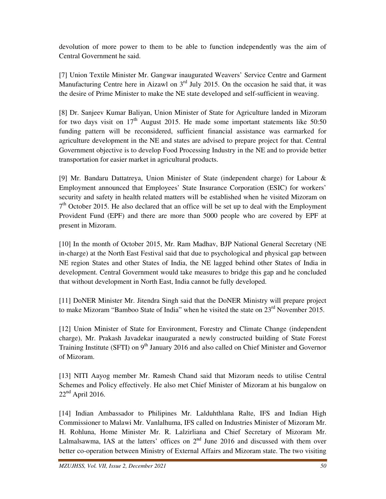devolution of more power to them to be able to function independently was the aim of Central Government he said.

[7] Union Textile Minister Mr. Gangwar inaugurated Weavers' Service Centre and Garment Manufacturing Centre here in Aizawl on  $3<sup>rd</sup>$  July 2015. On the occasion he said that, it was the desire of Prime Minister to make the NE state developed and self-sufficient in weaving.

[8] Dr. Sanjeev Kumar Baliyan, Union Minister of State for Agriculture landed in Mizoram for two days visit on  $17<sup>th</sup>$  August 2015. He made some important statements like 50:50 funding pattern will be reconsidered, sufficient financial assistance was earmarked for agriculture development in the NE and states are advised to prepare project for that. Central Government objective is to develop Food Processing Industry in the NE and to provide better transportation for easier market in agricultural products.

[9] Mr. Bandaru Dattatreya, Union Minister of State (independent charge) for Labour & Employment announced that Employees' State Insurance Corporation (ESIC) for workers' security and safety in health related matters will be established when he visited Mizoram on 7<sup>th</sup> October 2015. He also declared that an office will be set up to deal with the Employment Provident Fund (EPF) and there are more than 5000 people who are covered by EPF at present in Mizoram.

[10] In the month of October 2015, Mr. Ram Madhav, BJP National General Secretary (NE in-charge) at the North East Festival said that due to psychological and physical gap between NE region States and other States of India, the NE lagged behind other States of India in development. Central Government would take measures to bridge this gap and he concluded that without development in North East, India cannot be fully developed.

[11] DoNER Minister Mr. Jitendra Singh said that the DoNER Ministry will prepare project to make Mizoram "Bamboo State of India" when he visited the state on 23<sup>rd</sup> November 2015.

[12] Union Minister of State for Environment, Forestry and Climate Change (independent charge), Mr. Prakash Javadekar inaugurated a newly constructed building of State Forest Training Institute (SFTI) on 9<sup>th</sup> January 2016 and also called on Chief Minister and Governor of Mizoram.

[13] NITI Aayog member Mr. Ramesh Chand said that Mizoram needs to utilise Central Schemes and Policy effectively. He also met Chief Minister of Mizoram at his bungalow on  $22<sup>nd</sup>$  April 2016.

[14] Indian Ambassador to Philipines Mr. Lalduhthlana Ralte, IFS and Indian High Commissioner to Malawi Mr. Vanlalhuma, IFS called on Industries Minister of Mizoram Mr. H. Rohluna, Home Minister Mr. R. Lalzirliana and Chief Secretary of Mizoram Mr. Lalmalsawma, IAS at the latters' offices on  $2<sup>nd</sup>$  June 2016 and discussed with them over better co-operation between Ministry of External Affairs and Mizoram state. The two visiting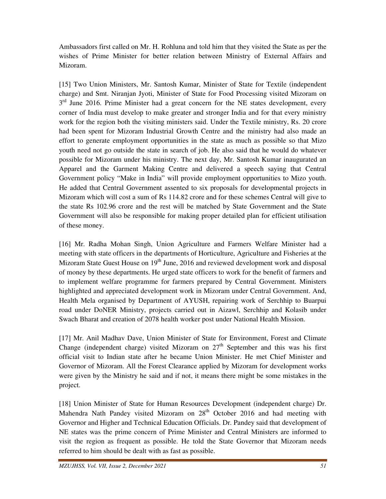Ambassadors first called on Mr. H. Rohluna and told him that they visited the State as per the wishes of Prime Minister for better relation between Ministry of External Affairs and Mizoram.

[15] Two Union Ministers, Mr. Santosh Kumar, Minister of State for Textile (independent charge) and Smt. Niranjan Jyoti, Minister of State for Food Processing visited Mizoram on 3<sup>rd</sup> June 2016. Prime Minister had a great concern for the NE states development, every corner of India must develop to make greater and stronger India and for that every ministry work for the region both the visiting ministers said. Under the Textile ministry, Rs. 20 crore had been spent for Mizoram Industrial Growth Centre and the ministry had also made an effort to generate employment opportunities in the state as much as possible so that Mizo youth need not go outside the state in search of job. He also said that he would do whatever possible for Mizoram under his ministry. The next day, Mr. Santosh Kumar inaugurated an Apparel and the Garment Making Centre and delivered a speech saying that Central Government policy "Make in India" will provide employment opportunities to Mizo youth. He added that Central Government assented to six proposals for developmental projects in Mizoram which will cost a sum of Rs 114.82 crore and for these schemes Central will give to the state Rs 102.96 crore and the rest will be matched by State Government and the State Government will also be responsible for making proper detailed plan for efficient utilisation of these money.

[16] Mr. Radha Mohan Singh, Union Agriculture and Farmers Welfare Minister had a meeting with state officers in the departments of Horticulture, Agriculture and Fisheries at the Mizoram State Guest House on  $19<sup>th</sup>$  June, 2016 and reviewed development work and disposal of money by these departments. He urged state officers to work for the benefit of farmers and to implement welfare programme for farmers prepared by Central Government. Ministers highlighted and appreciated development work in Mizoram under Central Government. And, Health Mela organised by Department of AYUSH, repairing work of Serchhip to Buarpui road under DoNER Ministry, projects carried out in Aizawl, Serchhip and Kolasib under Swach Bharat and creation of 2078 health worker post under National Health Mission.

[17] Mr. Anil Madhav Dave, Union Minister of State for Environment, Forest and Climate Change (independent charge) visited Mizoram on  $27<sup>th</sup>$  September and this was his first official visit to Indian state after he became Union Minister. He met Chief Minister and Governor of Mizoram. All the Forest Clearance applied by Mizoram for development works were given by the Ministry he said and if not, it means there might be some mistakes in the project.

[18] Union Minister of State for Human Resources Development (independent charge) Dr. Mahendra Nath Pandey visited Mizoram on  $28<sup>th</sup>$  October 2016 and had meeting with Governor and Higher and Technical Education Officials. Dr. Pandey said that development of NE states was the prime concern of Prime Minister and Central Ministers are informed to visit the region as frequent as possible. He told the State Governor that Mizoram needs referred to him should be dealt with as fast as possible.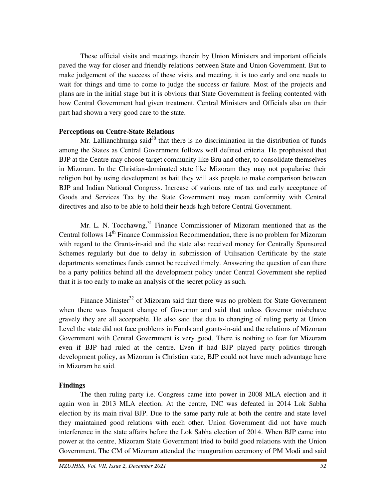These official visits and meetings therein by Union Ministers and important officials paved the way for closer and friendly relations between State and Union Government. But to make judgement of the success of these visits and meeting, it is too early and one needs to wait for things and time to come to judge the success or failure. Most of the projects and plans are in the initial stage but it is obvious that State Government is feeling contented with how Central Government had given treatment. Central Ministers and Officials also on their part had shown a very good care to the state.

## **Perceptions on Centre-State Relations**

Mr. Lallianchhunga said<sup>30</sup> that there is no discrimination in the distribution of funds among the States as Central Government follows well defined criteria. He prophesised that BJP at the Centre may choose target community like Bru and other, to consolidate themselves in Mizoram. In the Christian-dominated state like Mizoram they may not popularise their religion but by using development as bait they will ask people to make comparison between BJP and Indian National Congress. Increase of various rate of tax and early acceptance of Goods and Services Tax by the State Government may mean conformity with Central directives and also to be able to hold their heads high before Central Government.

Mr. L. N. Tocchawng, $31$  Finance Commissioner of Mizoram mentioned that as the Central follows 14<sup>th</sup> Finance Commission Recommendation, there is no problem for Mizoram with regard to the Grants-in-aid and the state also received money for Centrally Sponsored Schemes regularly but due to delay in submission of Utilisation Certificate by the state departments sometimes funds cannot be received timely. Answering the question of can there be a party politics behind all the development policy under Central Government she replied that it is too early to make an analysis of the secret policy as such.

Finance Minister $32$  of Mizoram said that there was no problem for State Government when there was frequent change of Governor and said that unless Governor misbehave gravely they are all acceptable. He also said that due to changing of ruling party at Union Level the state did not face problems in Funds and grants-in-aid and the relations of Mizoram Government with Central Government is very good. There is nothing to fear for Mizoram even if BJP had ruled at the centre. Even if had BJP played party politics through development policy, as Mizoram is Christian state, BJP could not have much advantage here in Mizoram he said.

## **Findings**

 The then ruling party i.e. Congress came into power in 2008 MLA election and it again won in 2013 MLA election. At the centre, INC was defeated in 2014 Lok Sabha election by its main rival BJP. Due to the same party rule at both the centre and state level they maintained good relations with each other. Union Government did not have much interference in the state affairs before the Lok Sabha election of 2014. When BJP came into power at the centre, Mizoram State Government tried to build good relations with the Union Government. The CM of Mizoram attended the inauguration ceremony of PM Modi and said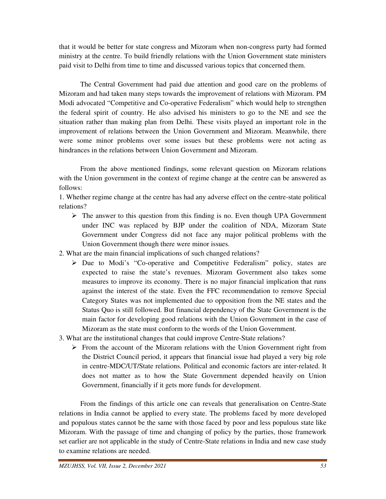that it would be better for state congress and Mizoram when non-congress party had formed ministry at the centre. To build friendly relations with the Union Government state ministers paid visit to Delhi from time to time and discussed various topics that concerned them.

 The Central Government had paid due attention and good care on the problems of Mizoram and had taken many steps towards the improvement of relations with Mizoram. PM Modi advocated "Competitive and Co-operative Federalism" which would help to strengthen the federal spirit of country. He also advised his ministers to go to the NE and see the situation rather than making plan from Delhi. These visits played an important role in the improvement of relations between the Union Government and Mizoram. Meanwhile, there were some minor problems over some issues but these problems were not acting as hindrances in the relations between Union Government and Mizoram.

 From the above mentioned findings, some relevant question on Mizoram relations with the Union government in the context of regime change at the centre can be answered as follows:

1. Whether regime change at the centre has had any adverse effect on the centre-state political relations?

- $\triangleright$  The answer to this question from this finding is no. Even though UPA Government under INC was replaced by BJP under the coalition of NDA, Mizoram State Government under Congress did not face any major political problems with the Union Government though there were minor issues.
- 2. What are the main financial implications of such changed relations?
	- $\triangleright$  Due to Modi's "Co-operative and Competitive Federalism" policy, states are expected to raise the state's revenues. Mizoram Government also takes some measures to improve its economy. There is no major financial implication that runs against the interest of the state. Even the FFC recommendation to remove Special Category States was not implemented due to opposition from the NE states and the Status Quo is still followed. But financial dependency of the State Government is the main factor for developing good relations with the Union Government in the case of Mizoram as the state must conform to the words of the Union Government.
- 3. What are the institutional changes that could improve Centre-State relations?
	- $\triangleright$  From the account of the Mizoram relations with the Union Government right from the District Council period, it appears that financial issue had played a very big role in centre-MDC/UT/State relations. Political and economic factors are inter-related. It does not matter as to how the State Government depended heavily on Union Government, financially if it gets more funds for development.

 From the findings of this article one can reveals that generalisation on Centre-State relations in India cannot be applied to every state. The problems faced by more developed and populous states cannot be the same with those faced by poor and less populous state like Mizoram. With the passage of time and changing of policy by the parties, those framework set earlier are not applicable in the study of Centre-State relations in India and new case study to examine relations are needed.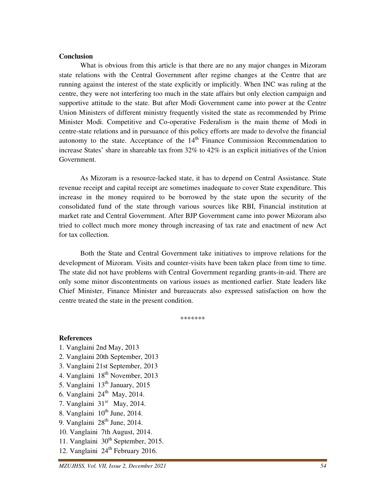#### **Conclusion**

 What is obvious from this article is that there are no any major changes in Mizoram state relations with the Central Government after regime changes at the Centre that are running against the interest of the state explicitly or implicitly. When INC was ruling at the centre, they were not interfering too much in the state affairs but only election campaign and supportive attitude to the state. But after Modi Government came into power at the Centre Union Ministers of different ministry frequently visited the state as recommended by Prime Minister Modi. Competitive and Co-operative Federalism is the main theme of Modi in centre-state relations and in pursuance of this policy efforts are made to devolve the financial autonomy to the state. Acceptance of the  $14<sup>th</sup>$  Finance Commission Recommendation to increase States' share in shareable tax from 32% to 42% is an explicit initiatives of the Union Government.

 As Mizoram is a resource-lacked state, it has to depend on Central Assistance. State revenue receipt and capital receipt are sometimes inadequate to cover State expenditure. This increase in the money required to be borrowed by the state upon the security of the consolidated fund of the state through various sources like RBI, Financial institution at market rate and Central Government. After BJP Government came into power Mizoram also tried to collect much more money through increasing of tax rate and enactment of new Act for tax collection.

 Both the State and Central Government take initiatives to improve relations for the development of Mizoram. Visits and counter-visits have been taken place from time to time. The state did not have problems with Central Government regarding grants-in-aid. There are only some minor discontentments on various issues as mentioned earlier. State leaders like Chief Minister, Finance Minister and bureaucrats also expressed satisfaction on how the centre treated the state in the present condition.

\*\*\*\*\*\*\*

#### **References**

- 1. Vanglaini 2nd May, 2013
- 2. Vanglaini 20th September, 2013
- 3. Vanglaini 21st September, 2013
- 4. Vanglaini 18<sup>th</sup> November, 2013
- 5. Vanglaini  $13<sup>th</sup>$  January, 2015
- 6. Vanglaini  $24<sup>th</sup>$  May, 2014.
- 7. Vanglaini  $31<sup>st</sup>$  May, 2014.
- 8. Vanglaini  $10^{th}$  June, 2014.
- 9. Vanglaini  $28<sup>th</sup>$  June, 2014.
- 10. Vanglaini 7th August, 2014.
- 11. Vanglaini  $30<sup>th</sup>$  September, 2015.
- 12. Vanglaini  $24<sup>th</sup>$  February 2016.